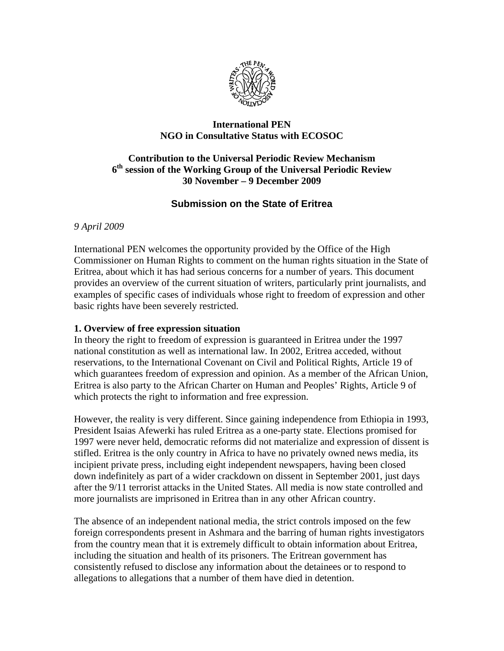

## **International PEN NGO in Consultative Status with ECOSOC**

## **Contribution to the Universal Periodic Review Mechanism 6th session of the Working Group of the Universal Periodic Review 30 November – 9 December 2009**

# **Submission on the State of Eritrea**

*9 April 2009* 

International PEN welcomes the opportunity provided by the Office of the High Commissioner on Human Rights to comment on the human rights situation in the State of Eritrea, about which it has had serious concerns for a number of years. This document provides an overview of the current situation of writers, particularly print journalists, and examples of specific cases of individuals whose right to freedom of expression and other basic rights have been severely restricted.

### **1. Overview of free expression situation**

In theory the right to freedom of expression is guaranteed in Eritrea under the 1997 national constitution as well as international law. In 2002, Eritrea acceded, without reservations, to the International Covenant on Civil and Political Rights, Article 19 of which guarantees freedom of expression and opinion. As a member of the African Union, Eritrea is also party to the African Charter on Human and Peoples' Rights, Article 9 of which protects the right to information and free expression.

However, the reality is very different. Since gaining independence from Ethiopia in 1993, President Isaias Afewerki has ruled Eritrea as a one-party state. Elections promised for 1997 were never held, democratic reforms did not materialize and expression of dissent is stifled. Eritrea is the only country in Africa to have no privately owned news media, its incipient private press, including eight independent newspapers, having been closed down indefinitely as part of a wider crackdown on dissent in September 2001, just days after the 9/11 terrorist attacks in the United States. All media is now state controlled and more journalists are imprisoned in Eritrea than in any other African country.

The absence of an independent national media, the strict controls imposed on the few foreign correspondents present in Ashmara and the barring of human rights investigators from the country mean that it is extremely difficult to obtain information about Eritrea, including the situation and health of its prisoners. The Eritrean government has consistently refused to disclose any information about the detainees or to respond to allegations to allegations that a number of them have died in detention.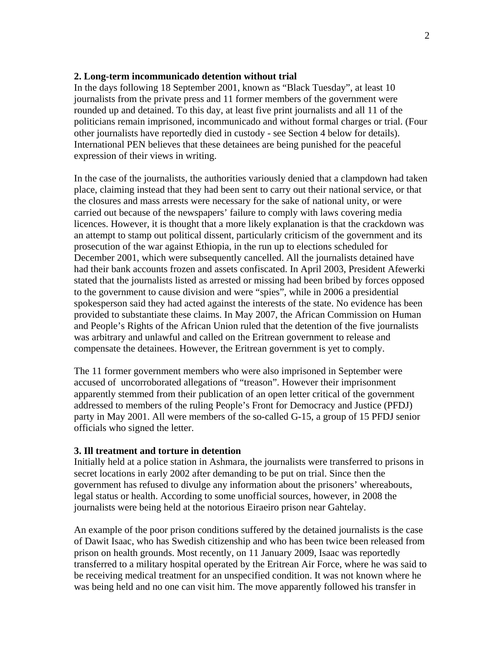#### **2. Long-term incommunicado detention without trial**

In the days following 18 September 2001, known as "Black Tuesday", at least 10 journalists from the private press and 11 former members of the government were rounded up and detained. To this day, at least five print journalists and all 11 of the politicians remain imprisoned, incommunicado and without formal charges or trial. (Four other journalists have reportedly died in custody - see Section 4 below for details). International PEN believes that these detainees are being punished for the peaceful expression of their views in writing.

In the case of the journalists, the authorities variously denied that a clampdown had taken place, claiming instead that they had been sent to carry out their national service, or that the closures and mass arrests were necessary for the sake of national unity, or were carried out because of the newspapers' failure to comply with laws covering media licences. However, it is thought that a more likely explanation is that the crackdown was an attempt to stamp out political dissent, particularly criticism of the government and its prosecution of the war against Ethiopia, in the run up to elections scheduled for December 2001, which were subsequently cancelled. All the journalists detained have had their bank accounts frozen and assets confiscated. In April 2003, President Afewerki stated that the journalists listed as arrested or missing had been bribed by forces opposed to the government to cause division and were "spies", while in 2006 a presidential spokesperson said they had acted against the interests of the state. No evidence has been provided to substantiate these claims. In May 2007, the African Commission on Human and People's Rights of the African Union ruled that the detention of the five journalists was arbitrary and unlawful and called on the Eritrean government to release and compensate the detainees. However, the Eritrean government is yet to comply.

The 11 former government members who were also imprisoned in September were accused of uncorroborated allegations of "treason". However their imprisonment apparently stemmed from their publication of an open letter critical of the government addressed to members of the ruling People's Front for Democracy and Justice (PFDJ) party in May 2001. All were members of the so-called G-15, a group of 15 PFDJ senior officials who signed the letter.

#### **3. Ill treatment and torture in detention**

Initially held at a police station in Ashmara, the journalists were transferred to prisons in secret locations in early 2002 after demanding to be put on trial. Since then the government has refused to divulge any information about the prisoners' whereabouts, legal status or health. According to some unofficial sources, however, in 2008 the journalists were being held at the notorious Eiraeiro prison near Gahtelay.

An example of the poor prison conditions suffered by the detained journalists is the case of Dawit Isaac, who has Swedish citizenship and who has been twice been released from prison on health grounds. Most recently, on 11 January 2009, Isaac was reportedly transferred to a military hospital operated by the Eritrean Air Force, where he was said to be receiving medical treatment for an unspecified condition. It was not known where he was being held and no one can visit him. The move apparently followed his transfer in